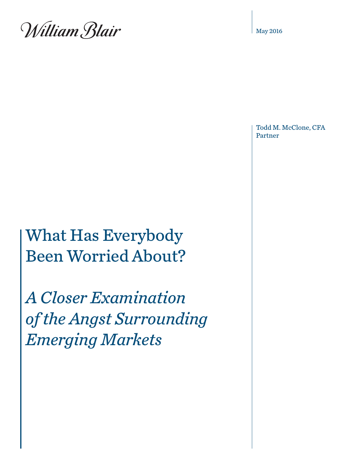William Blair

May 2016

Todd M. McClone, CFA Partner

What Has Everybody Been Worried About?

*A Closer Examination of the Angst Surrounding Emerging Markets*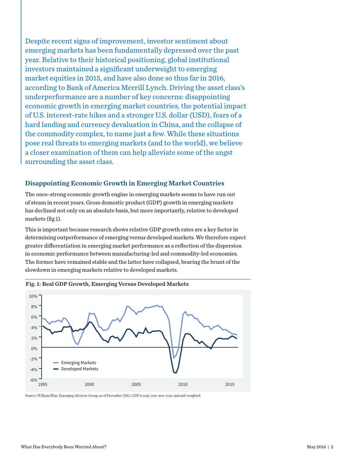Despite recent signs of improvement, investor sentiment about emerging markets has been fundamentally depressed over the past year. Relative to their historical positioning, global institutional investors maintained a significant underweight to emerging market equities in 2015, and have also done so thus far in 2016, according to Bank of America Merrill Lynch. Driving the asset class's underperformance are a number of key concerns: disappointing economic growth in emerging market countries, the potential impact of U.S. interest-rate hikes and a stronger U.S. dollar (USD), fears of a hard landing and currency devaluation in China, and the collapse of the commodity complex, to name just a few. While these situations pose real threats to emerging markets (and to the world), we believe a closer examination of them can help alleviate some of the angst surrounding the asset class.

## Disappointing Economic Growth in Emerging Market Countries

The once-strong economic growth engine in emerging markets seems to have run out of steam in recent years. Gross domestic product (GDP) growth in emerging markets has declined not only on an absolute basis, but more importantly, relative to developed markets (fig 1).

This is important because research shows relative GDP growth rates are a key factor in determining outperformance of emerging versus developed markets. We therefore expect greater differentiation in emerging market performance as a reflection of the dispersion in economic performance between manufacturing-led and commodity-led economies. The former have remained stable and the latter have collapsed, bearing the brunt of the slowdown in emerging markets relative to developed markets.



Fig. 1: Real GDP Growth, Emerging Versus Developed Markets

Source: William Blair, Emerging Advisors Group, as of December 2015. GDP is real, year-over-year, and mid-weighted.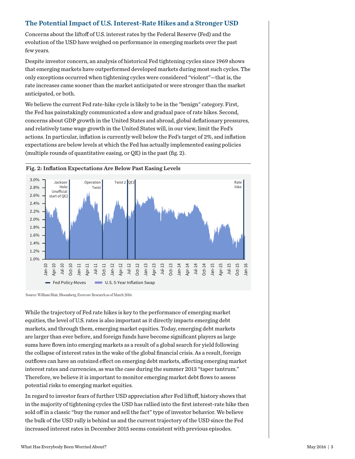## The Potential Impact of U.S. Interest-Rate Hikes and a Stronger USD

Concerns about the liftoff of U.S. interest rates by the Federal Reserve (Fed) and the evolution of the USD have weighed on performance in emerging markets over the past few years.

Despite investor concern, an analysis of historical Fed tightening cycles since 1969 shows that emerging markets have outperformed developed markets during most such cycles. The only exceptions occurred when tightening cycles were considered "violent"—that is, the rate increases came sooner than the market anticipated or were stronger than the market anticipated, or both.

We believe the current Fed rate-hike cycle is likely to be in the "benign" category. First, the Fed has painstakingly communicated a slow and gradual pace of rate hikes. Second, concerns about GDP growth in the United States and abroad, global deflationary pressures, and relatively tame wage growth in the United States will, in our view, limit the Fed's actions. In particular, inflation is currently well below the Fed's target of 2%, and inflation expectations are below levels at which the Fed has actually implemented easing policies (multiple rounds of quantitative easing, or QE) in the past (fig. 2).



While the trajectory of Fed rate hikes is key to the performance of emerging market equities, the level of U.S. rates is also important as it directly impacts emerging debt markets, and through them, emerging market equities. Today, emerging debt markets are larger than ever before, and foreign funds have become significant players as large sums have flown into emerging markets as a result of a global search for yield following the collapse of interest rates in the wake of the global financial crisis. As a result, foreign outflows can have an outsized effect on emerging debt markets, affecting emerging market interest rates and currencies, as was the case during the summer 2013 "taper tantrum." Therefore, we believe it is important to monitor emerging market debt flows to assess potential risks to emerging market equities.

In regard to investor fears of further USD appreciation after Fed liftoff, history shows that in the majority of tightening cycles the USD has rallied into the first interest-rate hike then sold off in a classic "buy the rumor and sell the fact" type of investor behavior. We believe the bulk of the USD rally is behind us and the current trajectory of the USD since the Fed increased interest rates in December 2015 seems consistent with previous episodes.

Source: William Blair, Bloomberg, Evercore Research as of March 2016.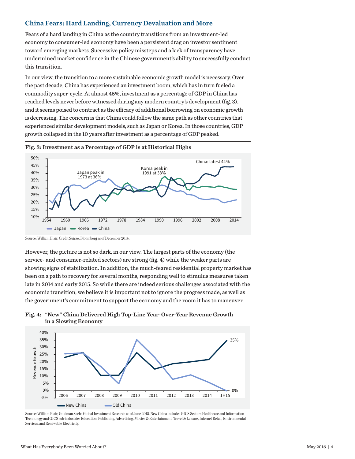## China Fears: Hard Landing, Currency Devaluation and More

Fears of a hard landing in China as the country transitions from an investment-led economy to consumer-led economy have been a persistent drag on investor sentiment toward emerging markets. Successive policy missteps and a lack of transparency have undermined market confidence in the Chinese government's ability to successfully conduct this transition.

In our view, the transition to a more sustainable economic growth model is necessary. Over the past decade, China has experienced an investment boom, which has in turn fueled a commodity super-cycle. At almost 45%, investment as a percentage of GDP in China has reached levels never before witnessed during any modern country's development (fig. 3), and it seems poised to contract as the efficacy of additional borrowing on economic growth is decreasing. The concern is that China could follow the same path as other countries that experienced similar development models, such as Japan or Korea. In those countries, GDP growth collapsed in the 10 years after investment as a percentage of GDP peaked.

#### Fig. 3: Investment as a Percentage of GDP is at Historical Highs



Source: William Blair, Credit Suisse, Bloomberg as of December 2014.

However, the picture is not so dark, in our view. The largest parts of the economy (the service- and consumer-related sectors) are strong (fig. 4) while the weaker parts are showing signs of stabilization. In addition, the much-feared residential property market has been on a path to recovery for several months, responding well to stimulus measures taken late in 2014 and early 2015. So while there are indeed serious challenges associated with the economic transition, we believe it is important not to ignore the progress made, as well as the government's commitment to support the economy and the room it has to maneuver.





Source: William Blair, Goldman Sachs Global Investment Research as of June 2015. New China includes GICS Sectors Healthcare and Information Technology and GICS sub-industries Education, Publishing, Advertising, Movies & Entertainment, Travel & Leisure, Internet Retail, Environmental Services, and Renewable Electricity.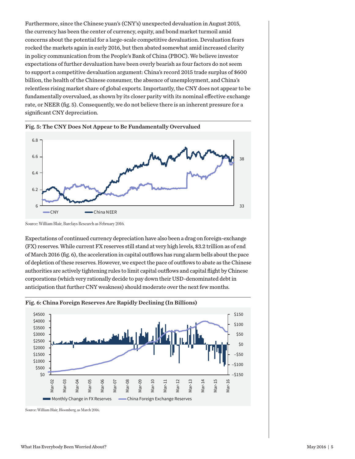Furthermore, since the Chinese yuan's (CNY's) unexpected devaluation in August 2015, the currency has been the center of currency, equity, and bond market turmoil amid concerns about the potential for a large-scale competitive devaluation. Devaluation fears rocked the markets again in early 2016, but then abated somewhat amid increased clarity in policy communication from the People's Bank of China (PBOC). We believe investor expectations of further devaluation have been overly bearish as four factors do not seem to support a competitive devaluation argument: China's record 2015 trade surplus of \$600 billion, the health of the Chinese consumer, the absence of unemployment, and China's relentless rising market share of global exports. Importantly, the CNY does not appear to be fundamentally overvalued, as shown by its closer parity with its nominal effective exchange rate, or NEER (fig. 5). Consequently, we do not believe there is an inherent pressure for a significant CNY depreciation.



Fig. 5: The CNY Does Not Appear to Be Fundamentally Overvalued

Expectations of continued currency depreciation have also been a drag on foreign-exchange (FX) reserves. While current FX reserves still stand at very high levels, \$3.2 trillion as of end of March 2016 (fig. 6), the acceleration in capital outflows has rung alarm bells about the pace of depletion of these reserves. However, we expect the pace of outflows to abate as the Chinese authorities are actively tightening rules to limit capital outflows and capital flight by Chinese corporations (which very rationally decide to pay down their USD-denominated debt in anticipation that further CNY weakness) should moderate over the next few months.



Fig. 6: China Foreign Reserves Are Rapidly Declining (In Billions)

Source: William Blair, Bloomberg, as March 2016.

Source: William Blair, Barclays Research as February 2016.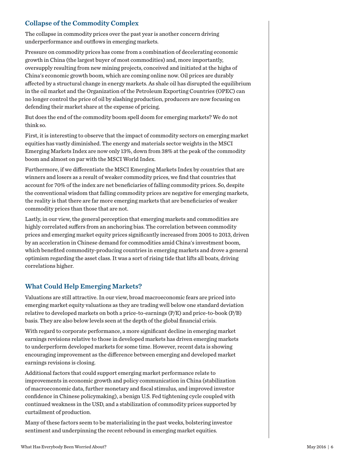## Collapse of the Commodity Complex

The collapse in commodity prices over the past year is another concern driving underperformance and outflows in emerging markets.

Pressure on commodity prices has come from a combination of decelerating economic growth in China (the largest buyer of most commodities) and, more importantly, oversupply resulting from new mining projects, conceived and initiated at the highs of China's economic growth boom, which are coming online now. Oil prices are durably affected by a structural change in energy markets. As shale oil has disrupted the equilibrium in the oil market and the Organization of the Petroleum Exporting Countries (OPEC) can no longer control the price of oil by slashing production, producers are now focusing on defending their market share at the expense of pricing.

But does the end of the commodity boom spell doom for emerging markets? We do not think so.

First, it is interesting to observe that the impact of commodity sectors on emerging market equities has vastly diminished. The energy and materials sector weights in the MSCI Emerging Markets Index are now only 13%, down from 38% at the peak of the commodity boom and almost on par with the MSCI World Index.

Furthermore, if we differentiate the MSCI Emerging Markets Index by countries that are winners and losers as a result of weaker commodity prices, we find that countries that account for 70% of the index are net beneficiaries of falling commodity prices. So, despite the conventional wisdom that falling commodity prices are negative for emerging markets, the reality is that there are far more emerging markets that are beneficiaries of weaker commodity prices than those that are not.

Lastly, in our view, the general perception that emerging markets and commodities are highly correlated suffers from an anchoring bias. The correlation between commodity prices and emerging market equity prices significantly increased from 2005 to 2013, driven by an acceleration in Chinese demand for commodities amid China's investment boom, which benefited commodity-producing countries in emerging markets and drove a general optimism regarding the asset class. It was a sort of rising tide that lifts all boats, driving correlations higher.

# What Could Help Emerging Markets?

Valuations are still attractive. In our view, broad macroeconomic fears are priced into emerging market equity valuations as they are trading well below one standard deviation relative to developed markets on both a price-to-earnings (P/E) and price-to-book (P/B) basis. They are also below levels seen at the depth of the global financial crisis.

With regard to corporate performance, a more significant decline in emerging market earnings revisions relative to those in developed markets has driven emerging markets to underperform developed markets for some time. However, recent data is showing encouraging improvement as the difference between emerging and developed market earnings revisions is closing.

Additional factors that could support emerging market performance relate to improvements in economic growth and policy communication in China (stabilization of macroeconomic data, further monetary and fiscal stimulus, and improved investor confidence in Chinese policymaking), a benign U.S. Fed tightening cycle coupled with continued weakness in the USD, and a stabilization of commodity prices supported by curtailment of production.

Many of these factors seem to be materializing in the past weeks, bolstering investor sentiment and underpinning the recent rebound in emerging market equities.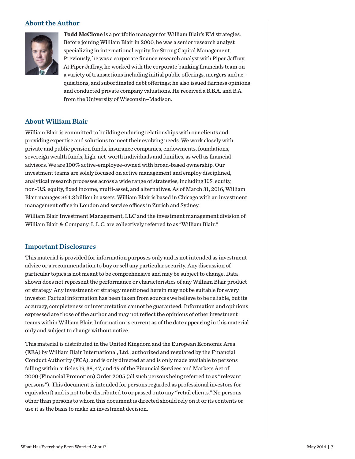### About the Author



**Todd McClone** is a portfolio manager for William Blair's EM strategies. Before joining William Blair in 2000, he was a senior research analyst specializing in international equity for Strong Capital Management. Previously, he was a corporate finance research analyst with Piper Jaffray. At Piper Jaffray, he worked with the corporate banking financials team on a variety of transactions including initial public offerings, mergers and acquisitions, and subordinated debt offerings; he also issued fairness opinions and conducted private company valuations. He received a B.B.A. and B.A. from the University of Wisconsin–Madison.

## About William Blair

William Blair is committed to building enduring relationships with our clients and providing expertise and solutions to meet their evolving needs. We work closely with private and public pension funds, insurance companies, endowments, foundations, sovereign wealth funds, high-net-worth individuals and families, as well as financial advisors. We are 100% active-employee-owned with broad-based ownership. Our investment teams are solely focused on active management and employ disciplined, analytical research processes across a wide range of strategies, including U.S. equity, non-U.S. equity, fixed income, multi-asset, and alternatives. As of March 31, 2016, William Blair manages \$64.3 billion in assets. William Blair is based in Chicago with an investment management office in London and service offices in Zurich and Sydney.

William Blair Investment Management, LLC and the investment management division of William Blair & Company, L.L.C. are collectively referred to as "William Blair."

#### Important Disclosures

This material is provided for information purposes only and is not intended as investment advice or a recommendation to buy or sell any particular security. Any discussion of particular topics is not meant to be comprehensive and may be subject to change. Data shown does not represent the performance or characteristics of any William Blair product or strategy. Any investment or strategy mentioned herein may not be suitable for every investor. Factual information has been taken from sources we believe to be reliable, but its accuracy, completeness or interpretation cannot be guaranteed. Information and opinions expressed are those of the author and may not reflect the opinions of other investment teams within William Blair. Information is current as of the date appearing in this material only and subject to change without notice.

This material is distributed in the United Kingdom and the European Economic Area (EEA) by William Blair International, Ltd., authorized and regulated by the Financial Conduct Authority (FCA), and is only directed at and is only made available to persons falling within articles 19, 38, 47, and 49 of the Financial Services and Markets Act of 2000 (Financial Promotion) Order 2005 (all such persons being referred to as "relevant persons"). This document is intended for persons regarded as professional investors (or equivalent) and is not to be distributed to or passed onto any "retail clients." No persons other than persons to whom this document is directed should rely on it or its contents or use it as the basis to make an investment decision.